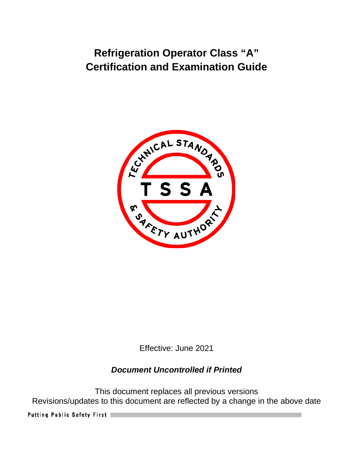# **Refrigeration Operator Class "A" Certification and Examination Guide**



Effective: June 2021

# *Document Uncontrolled if Printed*

This document replaces all previous versions Revisions/updates to this document are reflected by a change in the above date

Putting Public Safety First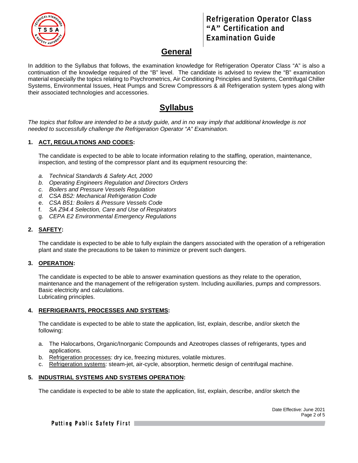

## **Refrigeration Operator Class "A" Certification and Examination Guide**

## **General**

In addition to the Syllabus that follows, the examination knowledge for Refrigeration Operator Class "A" is also a continuation of the knowledge required of the "B" level. The candidate is advised to review the "B" examination material especially the topics relating to Psychrometrics, Air Conditioning Principles and Systems, Centrifugal Chiller Systems, Environmental Issues, Heat Pumps and Screw Compressors & all Refrigeration system types along with their associated technologies and accessories.

# **Syllabus**

*The topics that follow are intended to be a study guide, and in no way imply that additional knowledge is not needed to successfully challenge the Refrigeration Operator "A" Examination.*

#### **1. ACT, REGULATIONS AND CODES:**

The candidate is expected to be able to locate information relating to the staffing, operation, maintenance, inspection, and testing of the compressor plant and its equipment resourcing the:

- *a. Technical Standards & Safety Act, 2000*
- *b. Operating Engineers Regulation and Directors Orders*
- *c. Boilers and Pressure Vessels Regulation*
- *d. CSA B52: Mechanical Refrigeration Code*
- e. *CSA B51: Boilers & Pressure Vessels Code*
- f. *SA Z94.4 Selection, Care and Use of Respirators*
- g. *CEPA E2 Environmental Emergency Regulations*

#### **2. SAFETY:**

The candidate is expected to be able to fully explain the dangers associated with the operation of a refrigeration plant and state the precautions to be taken to minimize or prevent such dangers.

#### **3. OPERATION:**

The candidate is expected to be able to answer examination questions as they relate to the operation, maintenance and the management of the refrigeration system. Including auxillaries, pumps and compressors. Basic electricity and calculations. Lubricating principles.

## **4. REFRIGERANTS, PROCESSES AND SYSTEMS:**

The candidate is expected to be able to state the application, list, explain, describe, and/or sketch the following:

- a. The Halocarbons, Organic/Inorganic Compounds and Azeotropes classes of refrigerants, types and applications.
- b. Refrigeration processes: dry ice, freezing mixtures, volatile mixtures.
- c. Refrigeration systems: steam-jet, air-cycle, absorption, hermetic design of centrifugal machine.

#### **5. INDUSTRIAL SYSTEMS AND SYSTEMS OPERATION:**

The candidate is expected to be able to state the application, list, explain, describe, and/or sketch the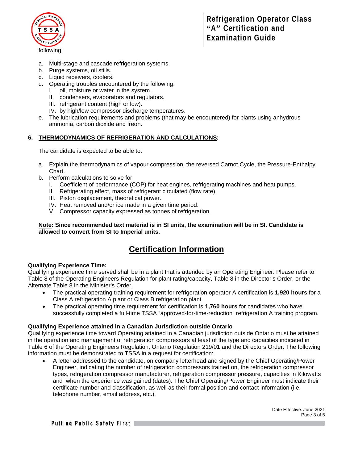

- a. Multi-stage and cascade refrigeration systems.
- b. Purge systems, oil stills.
- c. Liquid receivers, coolers.
- d. Operating troubles encountered by the following:
	- I. oil, moisture or water in the system.
	- II. condensers, evaporators and regulators.
	- III. refrigerant content (high or low).
	- IV. by high/low compressor discharge temperatures.
- e. The lubrication requirements and problems (that may be encountered) for plants using anhydrous ammonia, carbon dioxide and freon.

#### **6. THERMODYNAMICS OF REFRIGERATION AND CALCULATIONS:**

The candidate is expected to be able to:

- a. Explain the thermodynamics of vapour compression, the reversed Carnot Cycle, the Pressure-Enthalpy Chart.
- b. Perform calculations to solve for:
	- I. Coefficient of performance (COP) for heat engines, refrigerating machines and heat pumps.
	- II. Refrigerating effect, mass of refrigerant circulated (flow rate).
	- III. Piston displacement, theoretical power.
	- IV. Heat removed and/or ice made in a given time period.
	- V. Compressor capacity expressed as tonnes of refrigeration.

**Note: Since recommended text material is in SI units, the examination will be in SI. Candidate is allowed to convert from SI to Imperial units.**

# **Certification Information**

#### **Qualifying Experience Time:**

Qualifying experience time served shall be in a plant that is attended by an Operating Engineer. Please refer to Table 8 of the Operating Engineers Regulation for plant rating/capacity, Table 8 in the Director's Order, or the Alternate Table 8 in the Minister's Order.

- The practical operating training requirement for refrigeration operator A certification is **1,920 hours** for a Class A refrigeration A plant or Class B refrigeration plant.
- The practical operating time requirement for certification is **1,760 hours** for candidates who have successfully completed a full-time TSSA "approved-for-time-reduction" refrigeration A training program.

#### **Qualifying Experience attained in a Canadian Jurisdiction outside Ontario**

Qualifying experience time toward Operating attained in a Canadian jurisdiction outside Ontario must be attained in the operation and management of refrigeration compressors at least of the type and capacities indicated in Table 6 of the Operating Engineers Regulation, Ontario Regulation 219/01 and the Directors Order. The following information must be demonstrated to TSSA in a request for certification:

• A letter addressed to the candidate, on company letterhead and signed by the Chief Operating/Power Engineer, indicating the number of refrigeration compressors trained on, the refrigeration compressor types, refrigeration compressor manufacturer, refrigeration compressor pressure, capacities in Kilowatts and when the experience was gained (dates). The Chief Operating/Power Engineer must indicate their certificate number and classification, as well as their formal position and contact information (i.e. telephone number, email address, etc.).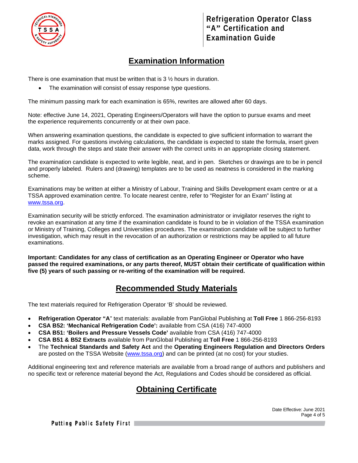

# **Examination Information**

There is one examination that must be written that is  $3\frac{1}{2}$  hours in duration.

The examination will consist of essay response type questions.

The minimum passing mark for each examination is 65%, rewrites are allowed after 60 days.

Note: effective June 14, 2021, Operating Engineers/Operators will have the option to pursue exams and meet the experience requirements concurrently or at their own pace.

When answering examination questions, the candidate is expected to give sufficient information to warrant the marks assigned. For questions involving calculations, the candidate is expected to state the formula, insert given data, work through the steps and state their answer with the correct units in an appropriate closing statement.

The examination candidate is expected to write legible, neat, and in pen. Sketches or drawings are to be in pencil and properly labeled. Rulers and (drawing) templates are to be used as neatness is considered in the marking scheme.

Examinations may be written at either a Ministry of Labour, Training and Skills Development exam centre or at a TSSA approved examination centre. To locate nearest centre, refer to "Register for an Exam" listing at [www.tssa.org.](http://www.tssa.org/)

Examination security will be strictly enforced. The examination administrator or invigilator reserves the right to revoke an examination at any time if the examination candidate is found to be in violation of the TSSA examination or Ministry of Training, Colleges and Universities procedures. The examination candidate will be subject to further investigation, which may result in the revocation of an authorization or restrictions may be applied to all future examinations.

**Important: Candidates for any class of certification as an Operating Engineer or Operator who have passed the required examinations, or any parts thereof, MUST obtain their certificate of qualification within five (5) years of such passing or re-writing of the examination will be required.** 

# **Recommended Study Materials**

The text materials required for Refrigeration Operator 'B' should be reviewed.

- **Refrigeration Operator "A**" text materials: available from PanGlobal Publishing at **Toll Free** 1 866-256-8193
- **CSA B52: 'Mechanical Refrigeration Code':** available from CSA (416) 747-4000
- **CSA B51: 'Boilers and Pressure Vessels Code'** available from CSA (416) 747-4000
- **CSA B51 & B52 Extracts** available from PanGlobal Publishing at **Toll Free** 1 866-256-8193
- The **Technical Standards and Safety Act** and the **Operating Engineers Regulation and Directors Orders** are posted on the TSSA Website [\(www.tssa.org\)](http://www.tssa.org/) and can be printed (at no cost) for your studies.

Additional engineering text and reference materials are available from a broad range of authors and publishers and no specific text or reference material beyond the Act, Regulations and Codes should be considered as official.

# **Obtaining Certificate**

Putting Public Safety First